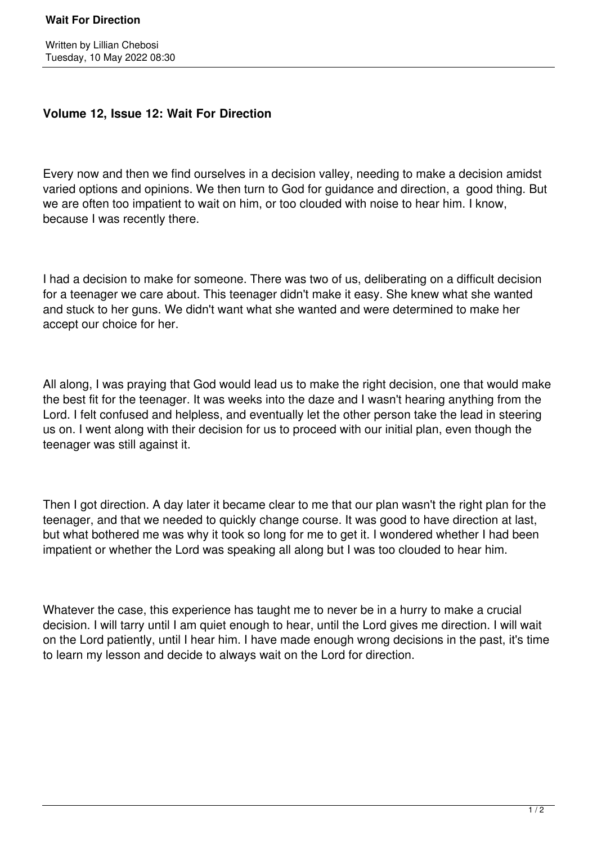## **Volume 12, Issue 12: Wait For Direction**

Every now and then we find ourselves in a decision valley, needing to make a decision amidst varied options and opinions. We then turn to God for guidance and direction, a good thing. But we are often too impatient to wait on him, or too clouded with noise to hear him. I know, because I was recently there.

I had a decision to make for someone. There was two of us, deliberating on a difficult decision for a teenager we care about. This teenager didn't make it easy. She knew what she wanted and stuck to her guns. We didn't want what she wanted and were determined to make her accept our choice for her.

All along, I was praying that God would lead us to make the right decision, one that would make the best fit for the teenager. It was weeks into the daze and I wasn't hearing anything from the Lord. I felt confused and helpless, and eventually let the other person take the lead in steering us on. I went along with their decision for us to proceed with our initial plan, even though the teenager was still against it.

Then I got direction. A day later it became clear to me that our plan wasn't the right plan for the teenager, and that we needed to quickly change course. It was good to have direction at last, but what bothered me was why it took so long for me to get it. I wondered whether I had been impatient or whether the Lord was speaking all along but I was too clouded to hear him.

Whatever the case, this experience has taught me to never be in a hurry to make a crucial decision. I will tarry until I am quiet enough to hear, until the Lord gives me direction. I will wait on the Lord patiently, until I hear him. I have made enough wrong decisions in the past, it's time to learn my lesson and decide to always wait on the Lord for direction.